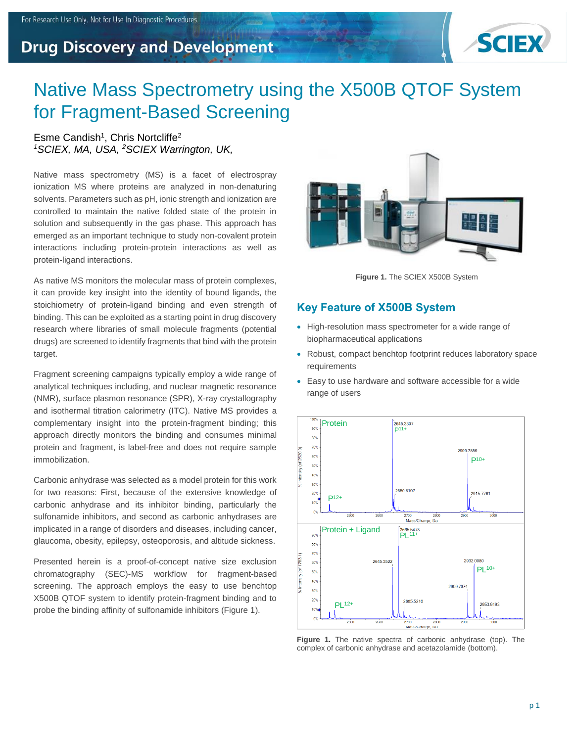## **Drug Discovery and Development**



# Native Mass Spectrometry using the X500B QTOF System for Fragment-Based Screening

#### Esme Candish<sup>1</sup>, Chris Nortcliffe<sup>2</sup> *<sup>1</sup>SCIEX, MA, USA, <sup>2</sup>SCIEX Warrington, UK,*

Native mass spectrometry (MS) is a facet of electrospray ionization MS where proteins are analyzed in non-denaturing solvents. Parameters such as pH, ionic strength and ionization are controlled to maintain the native folded state of the protein in solution and subsequently in the gas phase. This approach has emerged as an important technique to study non-covalent protein interactions including protein-protein interactions as well as protein-ligand interactions.

As native MS monitors the molecular mass of protein complexes, it can provide key insight into the identity of bound ligands, the stoichiometry of protein-ligand binding and even strength of binding. This can be exploited as a starting point in drug discovery research where libraries of small molecule fragments (potential drugs) are screened to identify fragments that bind with the protein target.

Fragment screening campaigns typically employ a wide range of analytical techniques including, and nuclear magnetic resonance (NMR), surface plasmon resonance (SPR), X-ray crystallography and isothermal titration calorimetry (ITC). Native MS provides a complementary insight into the protein-fragment binding; this approach directly monitors the binding and consumes minimal protein and fragment, is label-free and does not require sample immobilization.

Carbonic anhydrase was selected as a model protein for this work for two reasons: First, because of the extensive knowledge of carbonic anhydrase and its inhibitor binding, particularly the sulfonamide inhibitors, and second as carbonic anhydrases are implicated in a range of disorders and diseases, including cancer, glaucoma, obesity, epilepsy, osteoporosis, and altitude sickness.

Presented herein is a proof-of-concept native size exclusion chromatography (SEC)-MS workflow for fragment-based screening. The approach employs the easy to use benchtop X500B QTOF system to identify protein-fragment binding and to probe the binding affinity of sulfonamide inhibitors (Figure 1).



**Figure 1.** The SCIEX X500B System

### **Key Feature of X500B System**

- High-resolution mass spectrometer for a wide range of biopharmaceutical applications
- Robust, compact benchtop footprint reduces laboratory space requirements
- Easy to use hardware and software accessible for a wide range of users



**Figure 1.** The native spectra of carbonic anhydrase (top). The complex of carbonic anhydrase and acetazolamide (bottom).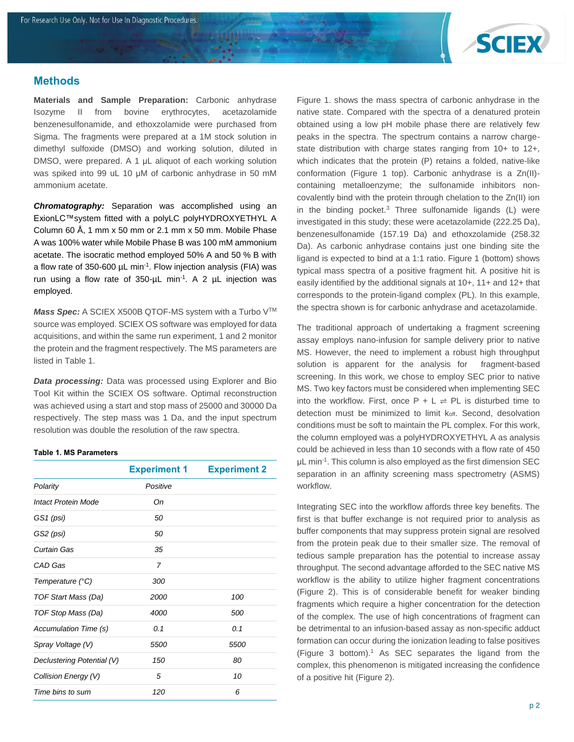

#### **Methods**

**Materials and Sample Preparation:** Carbonic anhydrase Isozyme II from bovine erythrocytes, acetazolamide benzenesulfonamide, and ethoxzolamide were purchased from Sigma. The fragments were prepared at a 1M stock solution in dimethyl sulfoxide (DMSO) and working solution, diluted in DMSO, were prepared. A 1 μL aliquot of each working solution was spiked into 99 uL 10 μM of carbonic anhydrase in 50 mM ammonium acetate.

*Chromatography:* Separation was accomplished using an ExionLC™system fitted with a polyLC polyHYDROXYETHYL A Column 60 Å, 1 mm x 50 mm or 2.1 mm x 50 mm. Mobile Phase A was 100% water while Mobile Phase B was 100 mM ammonium acetate. The isocratic method employed 50% A and 50 % B with a flow rate of 350-600  $\mu$ L min<sup>-1</sup>. Flow injection analysis (FIA) was run using a flow rate of  $350$ - $\mu$ L min<sup>-1</sup>. A 2  $\mu$ L injection was employed.

*Mass Spec:* A SCIEX X500B QTOF-MS system with a Turbo V<sup>™</sup> source was employed. SCIEX OS software was employed for data acquisitions, and within the same run experiment, 1 and 2 monitor the protein and the fragment respectively. The MS parameters are listed in Table 1.

*Data processing:* Data was processed using Explorer and Bio Tool Kit within the SCIEX OS software. Optimal reconstruction was achieved using a start and stop mass of 25000 and 30000 Da respectively. The step mass was 1 Da, and the input spectrum resolution was double the resolution of the raw spectra.

#### **Table 1. MS Parameters**

|                            | <b>Experiment 1</b> | <b>Experiment 2</b> |
|----------------------------|---------------------|---------------------|
| Polarity                   | Positive            |                     |
| Intact Protein Mode        | Оn                  |                     |
| GS1 (psi)                  | 50                  |                     |
| GS2 (psi)                  | 50                  |                     |
| Curtain Gas                | 35                  |                     |
| CAD Gas                    | $\overline{7}$      |                     |
| Temperature (°C)           | 300                 |                     |
| TOF Start Mass (Da)        | 2000                | 100                 |
| TOF Stop Mass (Da)         | 4000                | 500                 |
| Accumulation Time (s)      | 0.1                 | 0.1                 |
| Spray Voltage (V)          | 5500                | 5500                |
| Declustering Potential (V) | 150                 | 80                  |
| Collision Energy (V)       | 5                   | 10                  |
| Time bins to sum           | 120                 | 6                   |

Figure 1. shows the mass spectra of carbonic anhydrase in the native state. Compared with the spectra of a denatured protein obtained using a low pH mobile phase there are relatively few peaks in the spectra. The spectrum contains a narrow chargestate distribution with charge states ranging from 10+ to 12+, which indicates that the protein (P) retains a folded, native-like conformation (Figure 1 top). Carbonic anhydrase is a Zn(II) containing metalloenzyme; the sulfonamide inhibitors noncovalently bind with the protein through chelation to the Zn(II) ion in the binding pocket.<sup>3</sup> Three sulfonamide ligands (L) were investigated in this study; these were acetazolamide (222.25 Da), benzenesulfonamide (157.19 Da) and ethoxzolamide (258.32 Da). As carbonic anhydrase contains just one binding site the ligand is expected to bind at a 1:1 ratio. Figure 1 (bottom) shows typical mass spectra of a positive fragment hit. A positive hit is easily identified by the additional signals at 10+, 11+ and 12+ that corresponds to the protein-ligand complex (PL). In this example, the spectra shown is for carbonic anhydrase and acetazolamide.

The traditional approach of undertaking a fragment screening assay employs nano-infusion for sample delivery prior to native MS. However, the need to implement a robust high throughput solution is apparent for the analysis for fragment-based screening. In this work, we chose to employ SEC prior to native MS. Two key factors must be considered when implementing SEC into the workflow. First, once  $P + L \rightleftharpoons PL$  is disturbed time to detection must be minimized to limit koff. Second, desolvation conditions must be soft to maintain the PL complex. For this work, the column employed was a polyHYDROXYETHYL A as analysis could be achieved in less than 10 seconds with a flow rate of 450 μL min-1 . This column is also employed as the first dimension SEC separation in an affinity screening mass spectrometry (ASMS) workflow.

Integrating SEC into the workflow affords three key benefits. The first is that buffer exchange is not required prior to analysis as buffer components that may suppress protein signal are resolved from the protein peak due to their smaller size. The removal of tedious sample preparation has the potential to increase assay throughput. The second advantage afforded to the SEC native MS workflow is the ability to utilize higher fragment concentrations (Figure 2). This is of considerable benefit for weaker binding fragments which require a higher concentration for the detection of the complex. The use of high concentrations of fragment can be detrimental to an infusion-based assay as non-specific adduct formation can occur during the ionization leading to false positives (Figure 3 bottom). <sup>1</sup> As SEC separates the ligand from the complex, this phenomenon is mitigated increasing the confidence of a positive hit (Figure 2).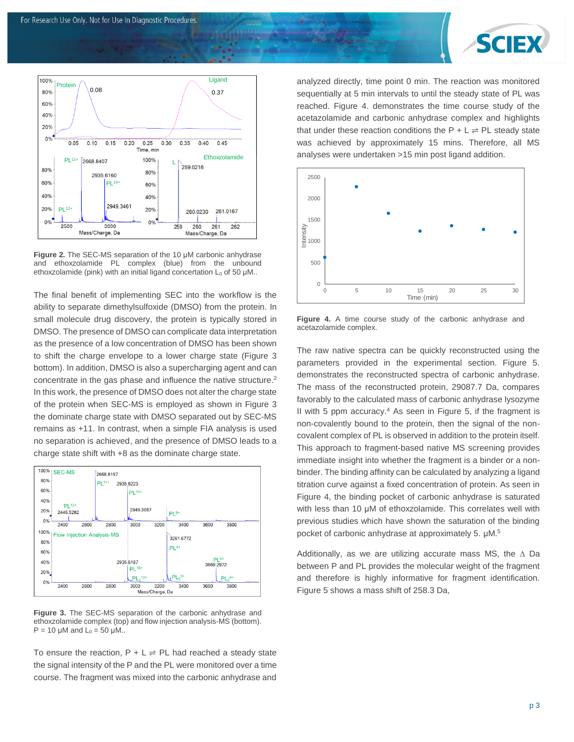



**Figure 2.** The SEC-MS separation of the 10 μM carbonic anhydrase and ethoxzolamide PL complex (blue) from the unbound ethoxzolamide (pink) with an initial ligand concertation  $L_0$  of 50 µM..

The final benefit of implementing SEC into the workflow is the ability to separate dimethylsulfoxide (DMSO) from the protein. In small molecule drug discovery, the protein is typically stored in DMSO. The presence of DMSO can complicate data interpretation as the presence of a low concentration of DMSO has been shown to shift the charge envelope to a lower charge state (Figure 3 bottom). In addition, DMSO is also a supercharging agent and can concentrate in the gas phase and influence the native structure. 2 In this work, the presence of DMSO does not alter the charge state of the protein when SEC-MS is employed as shown in Figure 3 the dominate charge state with DMSO separated out by SEC-MS remains as +11. In contrast, when a simple FIA analysis is used no separation is achieved, and the presence of DMSO leads to a charge state shift with +8 as the dominate charge state.



**Figure 3.** The SEC-MS separation of the carbonic anhydrase and ethoxzolamide complex (top) and flow injection analysis-MS (bottom).  $P = 10$  μM and  $L_0 = 50$  μM..

To ensure the reaction,  $P + L \rightleftharpoons PL$  had reached a steady state the signal intensity of the P and the PL were monitored over a time course. The fragment was mixed into the carbonic anhydrase and

analyzed directly, time point 0 min. The reaction was monitored sequentially at 5 min intervals to until the steady state of PL was reached. Figure 4. demonstrates the time course study of the acetazolamide and carbonic anhydrase complex and highlights that under these reaction conditions the  $P + L \rightleftharpoons PL$  steady state was achieved by approximately 15 mins. Therefore, all MS analyses were undertaken >15 min post ligand addition.



**Figure 4.** A time course study of the carbonic anhydrase and acetazolamide complex.

The raw native spectra can be quickly reconstructed using the parameters provided in the experimental section. Figure 5. demonstrates the reconstructed spectra of carbonic anhydrase. The mass of the reconstructed protein, 29087.7 Da, compares favorably to the calculated mass of carbonic anhydrase lysozyme II with 5 ppm accuracy. <sup>4</sup> As seen in Figure 5, if the fragment is non-covalently bound to the protein, then the signal of the noncovalent complex of PL is observed in addition to the protein itself. This approach to fragment-based native MS screening provides immediate insight into whether the fragment is a binder or a nonbinder. The binding affinity can be calculated by analyzing a ligand titration curve against a fixed concentration of protein. As seen in Figure 4, the binding pocket of carbonic anhydrase is saturated with less than 10 μM of ethoxzolamide. This correlates well with previous studies which have shown the saturation of the binding pocket of carbonic anhydrase at approximately 5. μM.<sup>5</sup>

Additionally, as we are utilizing accurate mass MS, the  $\Delta$  Da between P and PL provides the molecular weight of the fragment and therefore is highly informative for fragment identification. Figure 5 shows a mass shift of 258.3 Da,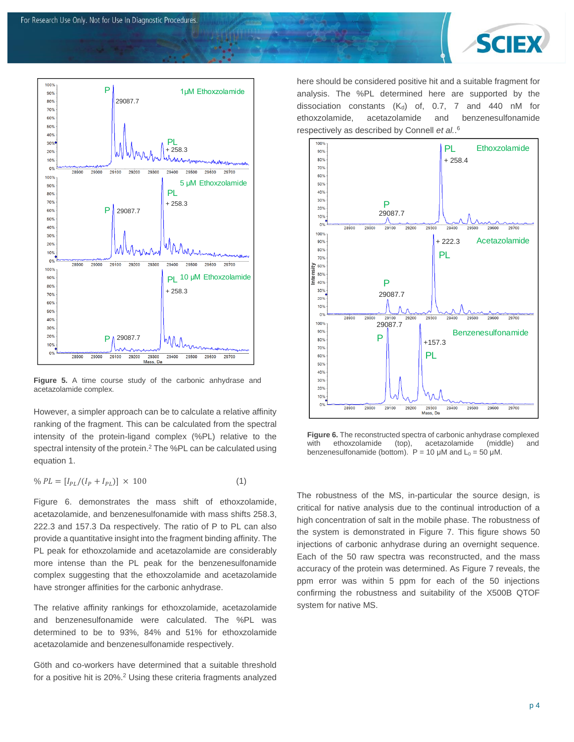



**Figure 5.** A time course study of the carbonic anhydrase and acetazolamide complex.

However, a simpler approach can be to calculate a relative affinity ranking of the fragment. This can be calculated from the spectral intensity of the protein-ligand complex (%PL) relative to the spectral intensity of the protein.<sup>2</sup> The %PL can be calculated using equation 1.

$$
\% PL = [I_{PL}/(I_P + I_{PL})] \times 100 \tag{1}
$$

Figure 6. demonstrates the mass shift of ethoxzolamide, acetazolamide, and benzenesulfonamide with mass shifts 258.3, 222.3 and 157.3 Da respectively. The ratio of P to PL can also provide a quantitative insight into the fragment binding affinity. The PL peak for ethoxzolamide and acetazolamide are considerably more intense than the PL peak for the benzenesulfonamide complex suggesting that the ethoxzolamide and acetazolamide have stronger affinities for the carbonic anhydrase.

The relative affinity rankings for ethoxzolamide, acetazolamide and benzenesulfonamide were calculated. The %PL was determined to be to 93%, 84% and 51% for ethoxzolamide acetazolamide and benzenesulfonamide respectively.

Göth and co-workers have determined that a suitable threshold for a positive hit is 20%.<sup>2</sup> Using these criteria fragments analyzed here should be considered positive hit and a suitable fragment for analysis. The %PL determined here are supported by the dissociation constants  $(K_d)$  of, 0.7, 7 and 440 nM for ethoxzolamide, acetazolamide and benzenesulfonamide respectively as described by Connell *et al.*. 6



**Figure 6.** The reconstructed spectra of carbonic anhydrase complexed with ethoxzolamide (top), acetazolamide (middle) and benzenesulfonamide (bottom).  $P = 10 \mu M$  and  $L_0 = 50 \mu M$ .

The robustness of the MS, in-particular the source design, is critical for native analysis due to the continual introduction of a high concentration of salt in the mobile phase. The robustness of the system is demonstrated in Figure 7. This figure shows 50 injections of carbonic anhydrase during an overnight sequence. Each of the 50 raw spectra was reconstructed, and the mass accuracy of the protein was determined. As Figure 7 reveals, the ppm error was within 5 ppm for each of the 50 injections confirming the robustness and suitability of the X500B QTOF system for native MS.